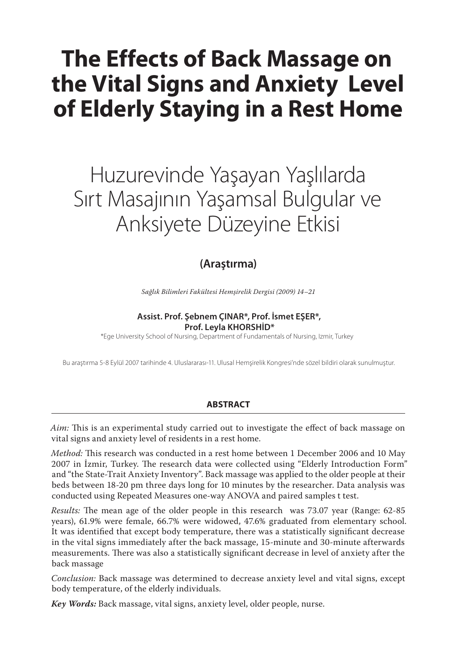# **The Effects of Back Massage on the Vital Signs and Anxiety Level of Elderly Staying in a Rest Home**

# Huzurevinde Yaşayan Yaşlılarda Sırt Masajının Yaşamsal Bulgular ve Anksiyete Düzeyine Etkisi

## **(Araştırma)**

*Sağlık Bilimleri Fakültesi Hemşirelik Dergisi (2009) 14–21*

#### **Assist. Prof. Şebnem ÇINAR\*, Prof. İsmet EŞER\*, Prof. Leyla KHORSHİD\***

\*Ege University School of Nursing, Department of Fundamentals of Nursing, Izmir, Turkey

Bu araştırma 5-8 Eylül 2007 tarihinde 4. Uluslararası-11. Ulusal Hemşirelik Kongresi'nde sözel bildiri olarak sunulmuştur.

#### **ABSTRACT**

*Aim:* This is an experimental study carried out to investigate the effect of back massage on vital signs and anxiety level of residents in a rest home.

*Method:* This research was conducted in a rest home between 1 December 2006 and 10 May 2007 in İzmir, Turkey. The research data were collected using "Elderly Introduction Form" and "the State-Trait Anxiety Inventory". Back massage was applied to the older people at their beds between 18-20 pm three days long for 10 minutes by the researcher. Data analysis was conducted using Repeated Measures one-way ANOVA and paired samples t test.

*Results:* The mean age of the older people in this research was 73.07 year (Range: 62-85 years), 61.9% were female, 66.7% were widowed, 47.6% graduated from elementary school. It was identified that except body temperature, there was a statistically significant decrease in the vital signs immediately after the back massage, 15-minute and 30-minute afterwards measurements. There was also a statistically significant decrease in level of anxiety after the back massage

*Conclusion:* Back massage was determined to decrease anxiety level and vital signs, except body temperature, of the elderly individuals.

*Key Words:* Back massage, vital signs, anxiety level, older people, nurse.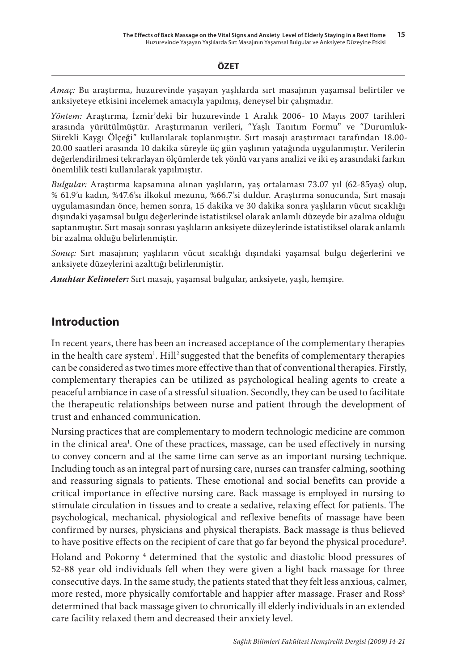#### **ÖZET**

*Amaç:* Bu araştırma, huzurevinde yaşayan yaşlılarda sırt masajının yaşamsal belirtiler ve anksiyeteye etkisini incelemek amacıyla yapılmış, deneysel bir çalışmadır.

*Yöntem:* Araştırma, İzmir'deki bir huzurevinde 1 Aralık 2006- 10 Mayıs 2007 tarihleri arasında yürütülmüştür. Araştırmanın verileri, "Yaşlı Tanıtım Formu" ve "Durumluk-Sürekli Kaygı Ölçeği" kullanılarak toplanmıştır. Sırt masajı araştırmacı tarafından 18.00- 20.00 saatleri arasında 10 dakika süreyle üç gün yaşlının yatağında uygulanmıştır. Verilerin değerlendirilmesi tekrarlayan ölçümlerde tek yönlü varyans analizi ve iki eş arasındaki farkın önemlilik testi kullanılarak yapılmıştır.

*Bulgular:* Araştırma kapsamına alınan yaşlıların, yaş ortalaması 73.07 yıl (62-85yaş) olup, % 61.9'u kadın, %47.6'sı ilkokul mezunu, %66.7'si duldur. Araştırma sonucunda, Sırt masajı uygulamasından önce, hemen sonra, 15 dakika ve 30 dakika sonra yaşlıların vücut sıcaklığı dışındaki yaşamsal bulgu değerlerinde istatistiksel olarak anlamlı düzeyde bir azalma olduğu saptanmıştır. Sırt masajı sonrası yaşlıların anksiyete düzeylerinde istatistiksel olarak anlamlı bir azalma olduğu belirlenmiştir.

*Sonuç:* Sırt masajının; yaşlıların vücut sıcaklığı dışındaki yaşamsal bulgu değerlerini ve anksiyete düzeylerini azalttığı belirlenmiştir.

*Anahtar Kelimeler:* Sırt masajı, yaşamsal bulgular, anksiyete, yaşlı, hemşire.

### **Introduction**

In recent years, there has been an increased acceptance of the complementary therapies in the health care system<sup>1</sup>. Hill<sup>2</sup> suggested that the benefits of complementary therapies can be considered as two times more effective than that of conventional therapies. Firstly, complementary therapies can be utilized as psychological healing agents to create a peaceful ambiance in case of a stressful situation. Secondly, they can be used to facilitate the therapeutic relationships between nurse and patient through the development of trust and enhanced communication.

Nursing practices that are complementary to modern technologic medicine are common in the clinical area<sup>1</sup>. One of these practices, massage, can be used effectively in nursing to convey concern and at the same time can serve as an important nursing technique. Including touch as an integral part of nursing care, nurses can transfer calming, soothing and reassuring signals to patients. These emotional and social benefits can provide a critical importance in effective nursing care. Back massage is employed in nursing to stimulate circulation in tissues and to create a sedative, relaxing effect for patients. The psychological, mechanical, physiological and reflexive benefits of massage have been confirmed by nurses, physicians and physical therapists. Back massage is thus believed to have positive effects on the recipient of care that go far beyond the physical procedure<sup>3</sup>. Holand and Pokorny <sup>4</sup> determined that the systolic and diastolic blood pressures of 52-88 year old individuals fell when they were given a light back massage for three consecutive days. In the same study, the patients stated that they felt less anxious, calmer, more rested, more physically comfortable and happier after massage. Fraser and Ross<sup>3</sup> determined that back massage given to chronically ill elderly individuals in an extended care facility relaxed them and decreased their anxiety level.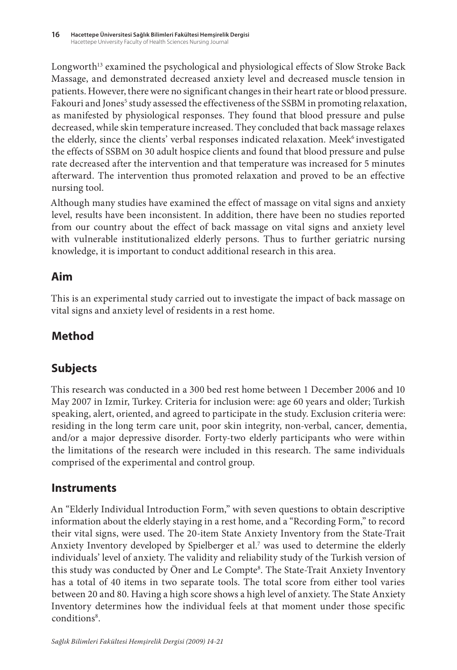Longworth<sup>13</sup> examined the psychological and physiological effects of Slow Stroke Back Massage, and demonstrated decreased anxiety level and decreased muscle tension in patients. However, there were no significant changes in their heart rate or blood pressure. Fakouri and Jones<sup>5</sup> study assessed the effectiveness of the SSBM in promoting relaxation, as manifested by physiological responses. They found that blood pressure and pulse decreased, while skin temperature increased. They concluded that back massage relaxes the elderly, since the clients' verbal responses indicated relaxation. Meek<sup>6</sup> investigated the effects of SSBM on 30 adult hospice clients and found that blood pressure and pulse rate decreased after the intervention and that temperature was increased for 5 minutes afterward. The intervention thus promoted relaxation and proved to be an effective nursing tool.

Although many studies have examined the effect of massage on vital signs and anxiety level, results have been inconsistent. In addition, there have been no studies reported from our country about the effect of back massage on vital signs and anxiety level with vulnerable institutionalized elderly persons. Thus to further geriatric nursing knowledge, it is important to conduct additional research in this area.

## **Aim**

This is an experimental study carried out to investigate the impact of back massage on vital signs and anxiety level of residents in a rest home.

# **Method**

# **Subjects**

This research was conducted in a 300 bed rest home between 1 December 2006 and 10 May 2007 in Izmir, Turkey. Criteria for inclusion were: age 60 years and older; Turkish speaking, alert, oriented, and agreed to participate in the study. Exclusion criteria were: residing in the long term care unit, poor skin integrity, non-verbal, cancer, dementia, and/or a major depressive disorder. Forty-two elderly participants who were within the limitations of the research were included in this research. The same individuals comprised of the experimental and control group.

## **Instruments**

An "Elderly Individual Introduction Form," with seven questions to obtain descriptive information about the elderly staying in a rest home, and a "Recording Form," to record their vital signs, were used. The 20-item State Anxiety Inventory from the State-Trait Anxiety Inventory developed by Spielberger et al.<sup>7</sup> was used to determine the elderly individuals' level of anxiety. The validity and reliability study of the Turkish version of this study was conducted by Öner and Le Compte<sup>8</sup>. The State-Trait Anxiety Inventory has a total of 40 items in two separate tools. The total score from either tool varies between 20 and 80. Having a high score shows a high level of anxiety. The State Anxiety Inventory determines how the individual feels at that moment under those specific conditions<sup>8</sup>.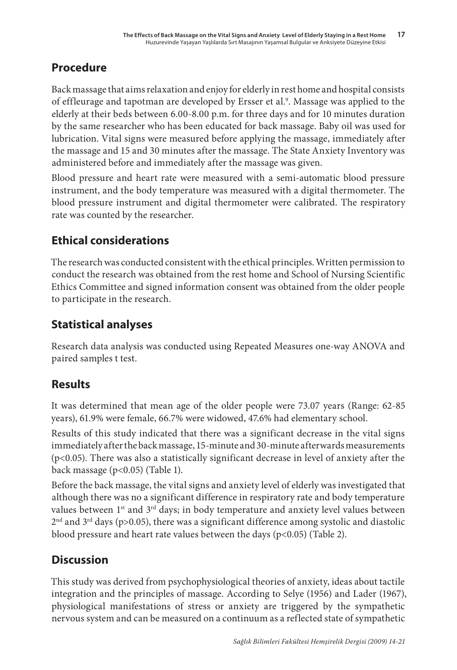## **Procedure**

Back massage that aims relaxation and enjoy for elderly in rest home and hospital consists of effleurage and tapotman are developed by Ersser et al.<sup>9</sup>. Massage was applied to the elderly at their beds between 6.00-8.00 p.m. for three days and for 10 minutes duration by the same researcher who has been educated for back massage. Baby oil was used for lubrication. Vital signs were measured before applying the massage, immediately after the massage and 15 and 30 minutes after the massage. The State Anxiety Inventory was administered before and immediately after the massage was given.

Blood pressure and heart rate were measured with a semi-automatic blood pressure instrument, and the body temperature was measured with a digital thermometer. The blood pressure instrument and digital thermometer were calibrated. The respiratory rate was counted by the researcher.

# **Ethical considerations**

The research was conducted consistent with the ethical principles. Written permission to conduct the research was obtained from the rest home and School of Nursing Scientific Ethics Committee and signed information consent was obtained from the older people to participate in the research.

# **Statistical analyses**

Research data analysis was conducted using Repeated Measures one-way ANOVA and paired samples t test.

# **Results**

It was determined that mean age of the older people were 73.07 years (Range: 62-85 years), 61.9% were female, 66.7% were widowed, 47.6% had elementary school.

Results of this study indicated that there was a significant decrease in the vital signs immediately after the back massage, 15-minute and 30-minute afterwards measurements (p<0.05). There was also a statistically significant decrease in level of anxiety after the back massage (p<0.05) (Table 1).

Before the back massage, the vital signs and anxiety level of elderly was investigated that although there was no a significant difference in respiratory rate and body temperature values between 1<sup>st</sup> and 3<sup>rd</sup> days; in body temperature and anxiety level values between  $2<sup>nd</sup>$  and  $3<sup>rd</sup>$  days (p>0.05), there was a significant difference among systolic and diastolic blood pressure and heart rate values between the days (p<0.05) (Table 2).

# **Discussion**

This study was derived from psychophysiological theories of anxiety, ideas about tactile integration and the principles of massage. According to Selye (1956) and Lader (1967), physiological manifestations of stress or anxiety are triggered by the sympathetic nervous system and can be measured on a continuum as a reflected state of sympathetic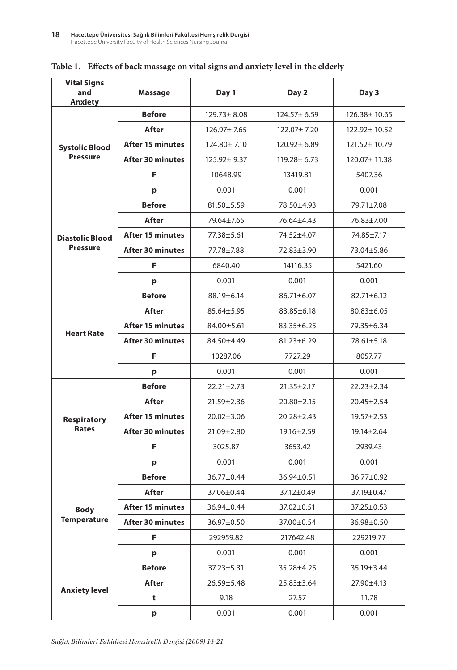| <b>Vital Signs</b><br>and<br>Anxiety     | Massage                 | Day 1             | Day 2             | Day 3            |  |
|------------------------------------------|-------------------------|-------------------|-------------------|------------------|--|
|                                          | <b>Before</b>           | $129.73 \pm 8.08$ | $124.57 \pm 6.59$ | 126.38±10.65     |  |
|                                          | After                   | 126.97± 7.65      | 122.07±7.20       | 122.92± 10.52    |  |
| <b>Systolic Blood</b><br><b>Pressure</b> | <b>After 15 minutes</b> | 124.80 ± 7.10     | $120.92 \pm 6.89$ | 121.52± 10.79    |  |
|                                          | <b>After 30 minutes</b> | 125.92± 9.37      | $119.28 \pm 6.73$ | 120.07± 11.38    |  |
|                                          | F                       | 10648.99          | 13419.81          | 5407.36          |  |
|                                          | p                       | 0.001             | 0.001             | 0.001            |  |
|                                          | <b>Before</b>           | $81.50 \pm 5.59$  | 78.50+4.93        | 79.71±7.08       |  |
|                                          | After                   | 79.64+7.65        | 76.64±4.43        | 76.83±7.00       |  |
| <b>Diastolic Blood</b>                   | <b>After 15 minutes</b> | 77.38±5.61        | 74.52±4.07        | 74.85±7.17       |  |
| <b>Pressure</b>                          | <b>After 30 minutes</b> | 77.78±7.88        | 72.83±3.90        | 73.04±5.86       |  |
|                                          | F                       | 6840.40           | 14116.35          | 5421.60          |  |
|                                          | p                       | 0.001             | 0.001             | 0.001            |  |
|                                          | <b>Before</b>           | 88.19±6.14        | $86.71 \pm 6.07$  | $82.71 \pm 6.12$ |  |
|                                          | After                   | $85.64 + 5.95$    | $83.85 \pm 6.18$  | $80.83 \pm 6.05$ |  |
| <b>Heart Rate</b>                        | <b>After 15 minutes</b> | 84.00±5.61        | $83.35 \pm 6.25$  | 79.35±6.34       |  |
|                                          | <b>After 30 minutes</b> | 84.50±4.49        | $81.23 \pm 6.29$  | $78.61 \pm 5.18$ |  |
|                                          | F                       | 10287.06          | 7727.29           | 8057.77          |  |
|                                          | p                       | 0.001             | 0.001             | 0.001            |  |
|                                          | <b>Before</b>           | $22.21 \pm 2.73$  | $21.35 \pm 2.17$  | $22.23 \pm 2.34$ |  |
|                                          | After                   | $21.59 \pm 2.36$  | $20.80 \pm 2.15$  | $20.45 \pm 2.54$ |  |
| <b>Respiratory</b>                       | <b>After 15 minutes</b> | $20.02 \pm 3.06$  | $20.28 \pm 2.43$  | $19.57 \pm 2.53$ |  |
| <b>Rates</b>                             | <b>After 30 minutes</b> | 21.09±2.80        | $19.16 \pm 2.59$  | $19.14 \pm 2.64$ |  |
|                                          | F                       | 3025.87           | 3653.42           | 2939.43          |  |
|                                          | p                       | 0.001             | 0.001             | 0.001            |  |
|                                          | <b>Before</b>           | 36.77±0.44        | 36.94±0.51        | 36.77±0.92       |  |
|                                          | <b>After</b>            | 37.06±0.44        | 37.12±0.49        | 37.19±0.47       |  |
| <b>Body</b>                              | <b>After 15 minutes</b> | 36.94±0.44        | 37.02±0.51        | 37.25±0.53       |  |
| <b>Temperature</b>                       | <b>After 30 minutes</b> | 36.97±0.50        | 37.00±0.54        | 36.98±0.50       |  |
|                                          | F                       | 292959.82         | 217642.48         | 229219.77        |  |
|                                          | p                       | 0.001             | 0.001             | 0.001            |  |
|                                          | Before                  | $37.23 \pm 5.31$  | 35.28±4.25        | 35.19±3.44       |  |
| <b>Anxiety level</b>                     | After                   | $26.59 \pm 5.48$  | $25.83 \pm 3.64$  | 27.90±4.13       |  |
|                                          | t                       | 9.18              | 27.57             | 11.78            |  |
|                                          | p                       | 0.001             | 0.001             | 0.001            |  |

#### **Table 1. Effects of back massage on vital signs and anxiety level in the elderly**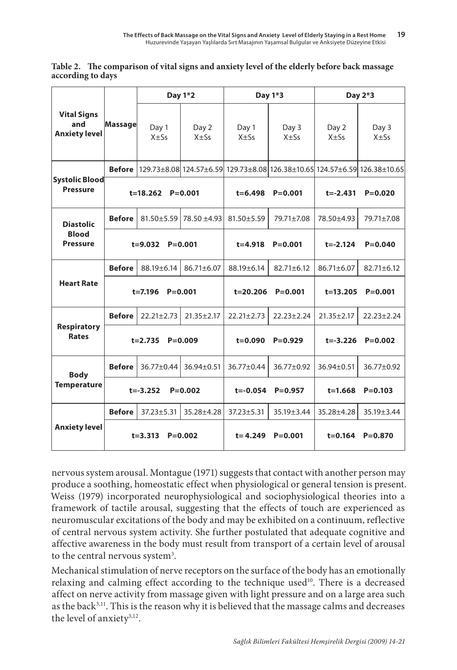| Table 2. The comparison of vital signs and anxiety level of the elderly before back massage |
|---------------------------------------------------------------------------------------------|
| according to days                                                                           |

| <b>Vital Signs</b><br>and<br><b>Anxiety level</b>   | <b>Massage</b>             | Day 1*2           |                            | Day 1*3           |                   | Day 2*3           |                                                                                           |
|-----------------------------------------------------|----------------------------|-------------------|----------------------------|-------------------|-------------------|-------------------|-------------------------------------------------------------------------------------------|
|                                                     |                            | Day 1<br>$X + Ss$ | Day 2<br>$X + Ss$          | Day 1<br>$X + Ss$ | Day 3<br>$X + Ss$ | Day 2<br>$X + Ss$ | Day 3<br>$X + Ss$                                                                         |
| Systolic Blood<br><b>Pressure</b>                   | <b>Before</b>              |                   |                            |                   |                   |                   | $ 129.73\pm8.08 124.57\pm6.59 129.73\pm8.08 126.38\pm10.65 124.57\pm6.59 126.38\pm10.65 $ |
|                                                     |                            | t=18.262          | $P = 0.001$                | $t = 6.498$       | $P = 0.001$       | $t = -2.431$      | $P = 0.020$                                                                               |
| <b>Diastolic</b><br><b>Blood</b><br><b>Pressure</b> | <b>Before</b>              |                   | $81.50 + 5.59$ 78.50 +4.93 | $81.50 + 5.59$    | 79.71±7.08        | 78.50 ± 4.93      | 79.71±7.08                                                                                |
|                                                     |                            | $t = 9.032$       | $P = 0.001$                | $t = 4.918$       | $P = 0.001$       | $t = -2.124$      | $P = 0.040$                                                                               |
| <b>Heart Rate</b>                                   | <b>Before</b>              | $88.19 \pm 6.14$  | 86.71±6.07                 | 88.19±6.14        | $82.71 \pm 6.12$  | 86.71±6.07        | 82.71±6.12                                                                                |
|                                                     | $t = 7.196$<br>$P = 0.001$ |                   |                            | t=20.206          | $P = 0.001$       | $t = 13.205$      | $P = 0.001$                                                                               |
| <b>Respiratory</b><br><b>Rates</b>                  | <b>Before</b>              | $22.21 \pm 2.73$  | $21.35 + 2.17$             | $22.21 \pm 2.73$  | $22.23 + 2.24$    | $21.35 + 2.17$    | $22.23 + 2.24$                                                                            |
|                                                     | $P = 0.009$<br>$t = 2.735$ |                   | $t = 0.090$                | $P = 0.929$       | $t = -3.226$      | $P = 0.002$       |                                                                                           |
| <b>Body</b><br><b>Temperature</b>                   | <b>Before</b>              | 36.77±0.44        | 36.94±0.51                 | 36.77±0.44        | 36.77±0.92        | 36.94±0.51        | 36.77±0.92                                                                                |
|                                                     |                            | $t = -3.252$      | $P = 0.002$                | $t = -0.054$      | $P = 0.957$       | $t = 1.668$       | $P = 0.103$                                                                               |
| <b>Anxiety level</b>                                | <b>Before</b>              | $37.23 \pm 5.31$  | 35.28±4.28                 | $37.23 \pm 5.31$  | 35.19±3.44        | 35.28±4.28        | 35.19±3.44                                                                                |
|                                                     |                            | $t = 3.313$       | $P = 0.002$                | $t = 4.249$       | $P = 0.001$       | $t = 0.164$       | $P = 0.870$                                                                               |

nervous system arousal. Montague (1971) suggests that contact with another person may produce a soothing, homeostatic effect when physiological or general tension is present. Weiss (1979) incorporated neurophysiological and sociophysiological theories into a framework of tactile arousal, suggesting that the effects of touch are experienced as neuromuscular excitations of the body and may be exhibited on a continuum, reflective of central nervous system activity. She further postulated that adequate cognitive and affective awareness in the body must result from transport of a certain level of arousal to the central nervous system<sup>3</sup>.

Mechanical stimulation of nerve receptors on the surface of the body has an emotionally relaxing and calming effect according to the technique used<sup>10</sup>. There is a decreased affect on nerve activity from massage given with light pressure and on a large area such as the back $3,11$ . This is the reason why it is believed that the massage calms and decreases the level of anxiety<sup>3,12</sup>.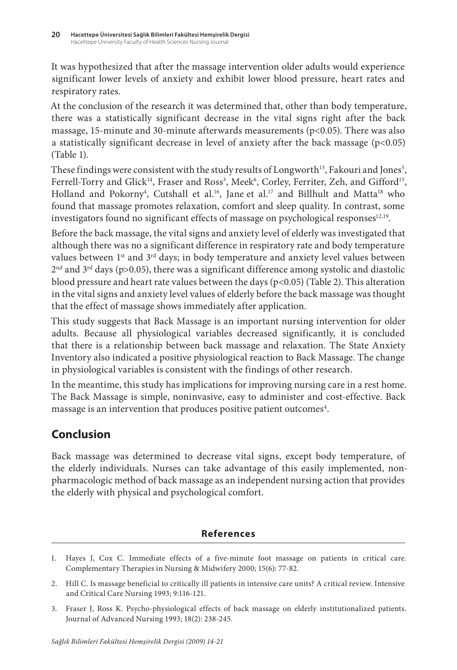It was hypothesized that after the massage intervention older adults would experience significant lower levels of anxiety and exhibit lower blood pressure, heart rates and respiratory rates.

At the conclusion of the research it was determined that, other than body temperature, there was a statistically significant decrease in the vital signs right after the back massage, 15-minute and 30-minute afterwards measurements (p<0.05). There was also a statistically significant decrease in level of anxiety after the back massage  $(p<0.05)$ (Table 1).

These findings were consistent with the study results of Longworth $^{13}$ , Fakouri and Jones $^{5}$ , Ferrell-Torry and Glick<sup>14</sup>, Fraser and Ross<sup>3</sup>, Meek<sup>6</sup>, Corley, Ferriter, Zeh, and Gifford<sup>15</sup>, Holland and Pokorny<sup>4</sup>, Cutshall et al.<sup>16</sup>, Jane et al.<sup>17</sup> and Billhult and Matta<sup>18</sup> who found that massage promotes relaxation, comfort and sleep quality. In contrast, some investigators found no significant effects of massage on psychological responses $12,19$ .

Before the back massage, the vital signs and anxiety level of elderly was investigated that although there was no a significant difference in respiratory rate and body temperature values between  $1<sup>st</sup>$  and  $3<sup>rd</sup>$  days; in body temperature and anxiety level values between  $2<sup>nd</sup>$  and  $3<sup>rd</sup>$  days (p>0.05), there was a significant difference among systolic and diastolic blood pressure and heart rate values between the days ( $p<0.05$ ) (Table 2). This alteration in the vital signs and anxiety level values of elderly before the back massage was thought that the effect of massage shows immediately after application.

This study suggests that Back Massage is an important nursing intervention for older adults. Because all physiological variables decreased significantly, it is concluded that there is a relationship between back massage and relaxation. The State Anxiety Inventory also indicated a positive physiological reaction to Back Massage. The change in physiological variables is consistent with the findings of other research.

In the meantime, this study has implications for improving nursing care in a rest home. The Back Massage is simple, noninvasive, easy to administer and cost-effective. Back massage is an intervention that produces positive patient outcomes $^{\rm 4}.$ 

# **Conclusion**

Back massage was determined to decrease vital signs, except body temperature, of the elderly individuals. Nurses can take advantage of this easily implemented, nonpharmacologic method of back massage as an independent nursing action that provides the elderly with physical and psychological comfort.

### **References**

3. Fraser J, Ross K. Psycho-physiological effects of back massage on elderly institutionalized patients. Journal of Advanced Nursing 1993; 18(2): 238-245.

<sup>1.</sup> Hayes J, Cox C. Immediate effects of a five-minute foot massage on patients in critical care. Complementary Therapies in Nursing & Midwifery 2000; 15(6): 77-82.

<sup>2.</sup> Hill C. Is massage beneficial to critically ill patients in intensive care units? A critical review. Intensive and Critical Care Nursing 1993; 9:116-121.